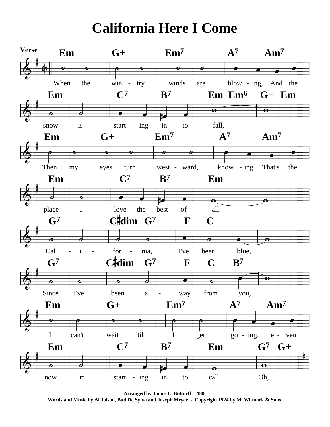## **California Here I Come**



Arranged by James L. Bottorff - 2008 Words and Music by Al Jolson, Bud De Sylva and Joseph Meyer - Copyright 1924 by M. Witmark & Sons